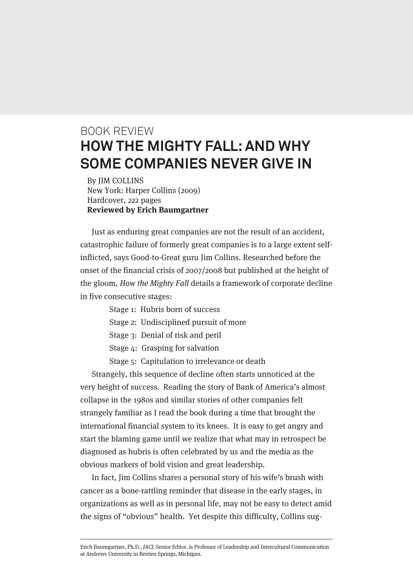## BOOK REVIEW **HOW THE MIGHTY FALL: AND WHY SOME COMPANIES NEVER GIVE IN**

By JIM COLLINS New York: Harper Collins (2009) Hardcover, 222 pages **Reviewed by Erich Baumgartner**

Just as enduring great companies are not the result of an accident, catastrophic failure of formerly great companies is to a large extent selfinflicted, says Good-to-Great guru Jim Collins. Researched before the onset of the financial crisis of 2007/2008 but published at the height of the gloom, How the Mighty Fall details a framework of corporate decline in five consecutive stages:

- Stage 1: Hubris born of success
- Stage 2: Undisciplined pursuit of more
- Stage 3: Denial of risk and peril
- Stage 4: Grasping for salvation
- Stage 5: Capitulation to irrelevance or death

Strangely, this sequence of decline often starts unnoticed at the very height of success. Reading the story of Bank of America's almost collapse in the 1980s and similar stories of other companies felt strangely familiar as I read the book during a time that brought the international financial system to its knees. It is easy to get angry and start the blaming game until we realize that what may in retrospect be diagnosed as hubris is often celebrated by us and the media as the obvious markers of bold vision and great leadership.

In fact, Jim Collins shares a personal story of his wife's brush with cancer as a bone-rattling reminder that disease in the early stages, in organizations as well as in personal life, may not be easy to detect amid the signs of "obvious" health. Yet despite this difficulty, Collins sug-

Erich Baumgartner, Ph.D., JACL Senior Editor, is Professor of Leadership and Intercultural Communication at Andrews University in Berrien Springs, Michigan.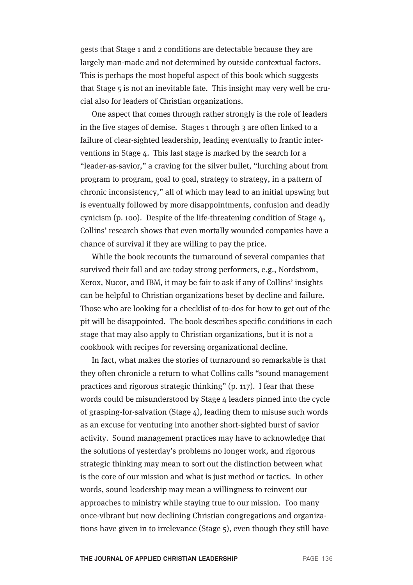gests that Stage 1 and 2 conditions are detectable because they are largely man-made and not determined by outside contextual factors. This is perhaps the most hopeful aspect of this book which suggests that Stage 5 is not an inevitable fate. This insight may very well be crucial also for leaders of Christian organizations.

One aspect that comes through rather strongly is the role of leaders in the five stages of demise. Stages 1 through 3 are often linked to a failure of clear-sighted leadership, leading eventually to frantic interventions in Stage 4. This last stage is marked by the search for a "leader-as-savior," a craving for the silver bullet, "lurching about from program to program, goal to goal, strategy to strategy, in a pattern of chronic inconsistency," all of which may lead to an initial upswing but is eventually followed by more disappointments, confusion and deadly cynicism (p. 100). Despite of the life-threatening condition of Stage 4, Collins' research shows that even mortally wounded companies have a chance of survival if they are willing to pay the price.

While the book recounts the turnaround of several companies that survived their fall and are today strong performers, e.g., Nordstrom, Xerox, Nucor, and IBM, it may be fair to ask if any of Collins' insights can be helpful to Christian organizations beset by decline and failure. Those who are looking for a checklist of to-dos for how to get out of the pit will be disappointed. The book describes specific conditions in each stage that may also apply to Christian organizations, but it is not a cookbook with recipes for reversing organizational decline.

In fact, what makes the stories of turnaround so remarkable is that they often chronicle a return to what Collins calls "sound management practices and rigorous strategic thinking" (p. 117). I fear that these words could be misunderstood by Stage 4 leaders pinned into the cycle of grasping-for-salvation (Stage 4), leading them to misuse such words as an excuse for venturing into another short-sighted burst of savior activity. Sound management practices may have to acknowledge that the solutions of yesterday's problems no longer work, and rigorous strategic thinking may mean to sort out the distinction between what is the core of our mission and what is just method or tactics. In other words, sound leadership may mean a willingness to reinvent our approaches to ministry while staying true to our mission. Too many once-vibrant but now declining Christian congregations and organizations have given in to irrelevance (Stage 5), even though they still have